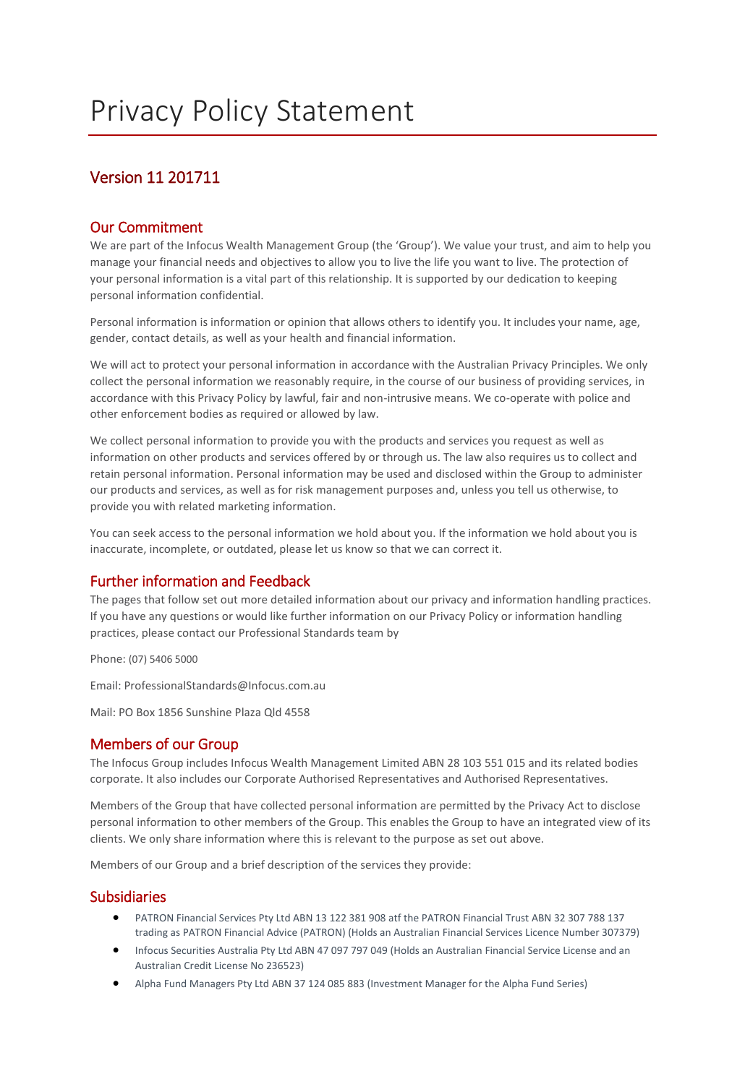# Version 11 201711

# Our Commitment

We are part of the Infocus Wealth Management Group (the 'Group'). We value your trust, and aim to help you manage your financial needs and objectives to allow you to live the life you want to live. The protection of your personal information is a vital part of this relationship. It is supported by our dedication to keeping personal information confidential.

Personal information is information or opinion that allows others to identify you. It includes your name, age, gender, contact details, as well as your health and financial information.

We will act to protect your personal information in accordance with the Australian Privacy Principles. We only collect the personal information we reasonably require, in the course of our business of providing services, in accordance with this Privacy Policy by lawful, fair and non-intrusive means. We co-operate with police and other enforcement bodies as required or allowed by law.

We collect personal information to provide you with the products and services you request as well as information on other products and services offered by or through us. The law also requires us to collect and retain personal information. Personal information may be used and disclosed within the Group to administer our products and services, as well as for risk management purposes and, unless you tell us otherwise, to provide you with related marketing information.

You can seek access to the personal information we hold about you. If the information we hold about you is inaccurate, incomplete, or outdated, please let us know so that we can correct it.

# Further information and Feedback

The pages that follow set out more detailed information about our privacy and information handling practices. If you have any questions or would like further information on our Privacy Policy or information handling practices, please contact our Professional Standards team by

Phone: (07) 5406 5000

Email: ProfessionalStandards@Infocus.com.au

Mail: PO Box 1856 Sunshine Plaza Qld 4558

# Members of our Group

The Infocus Group includes Infocus Wealth Management Limited ABN 28 103 551 015 and its related bodies corporate. It also includes our Corporate Authorised Representatives and Authorised Representatives.

Members of the Group that have collected personal information are permitted by the Privacy Act to disclose personal information to other members of the Group. This enables the Group to have an integrated view of its clients. We only share information where this is relevant to the purpose as set out above.

Members of our Group and a brief description of the services they provide:

### Subsidiaries

- PATRON Financial Services Pty Ltd ABN 13 122 381 908 atf the PATRON Financial Trust ABN 32 307 788 137 trading as PATRON Financial Advice (PATRON) (Holds an Australian Financial Services Licence Number 307379)
- Infocus Securities Australia Pty Ltd ABN 47 097 797 049 (Holds an Australian Financial Service License and an Australian Credit License No 236523)
- Alpha Fund Managers Pty Ltd ABN 37 124 085 883 (Investment Manager for the Alpha Fund Series)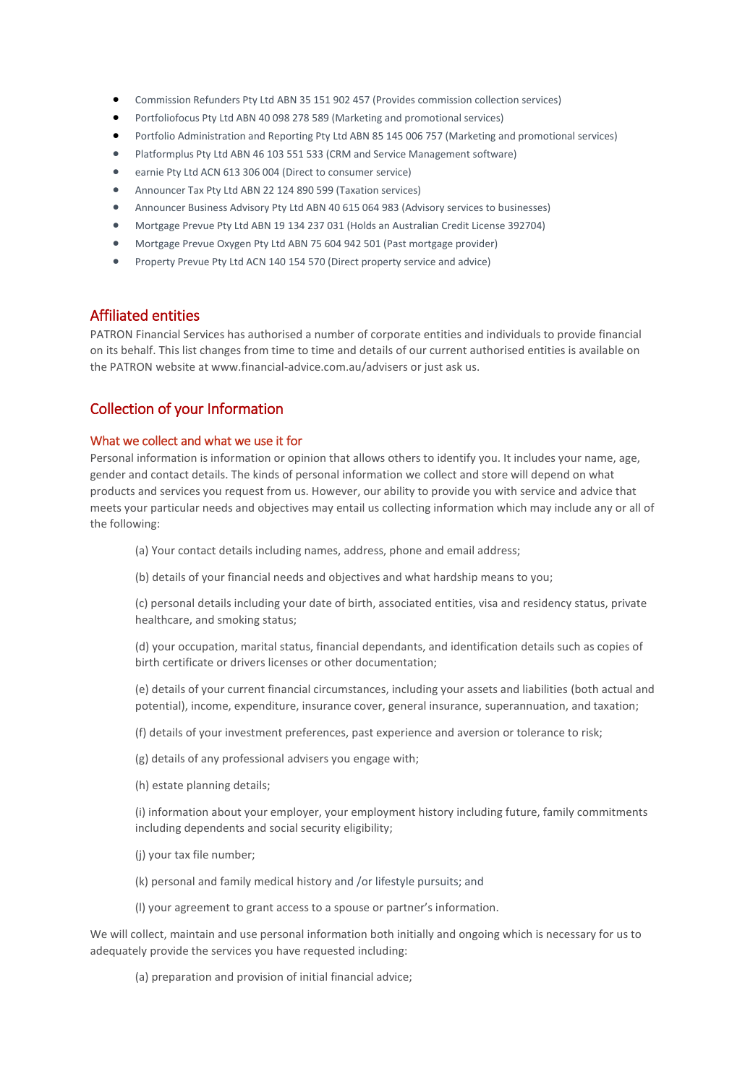- Commission Refunders Pty Ltd ABN 35 151 902 457 (Provides commission collection services)
- Portfoliofocus Pty Ltd ABN 40 098 278 589 (Marketing and promotional services)
- Portfolio Administration and Reporting Pty Ltd ABN 85 145 006 757 (Marketing and promotional services)
- Platformplus Pty Ltd ABN 46 103 551 533 (CRM and Service Management software)
- earnie Pty Ltd ACN 613 306 004 (Direct to consumer service)
- Announcer Tax Pty Ltd ABN 22 124 890 599 (Taxation services)
- Announcer Business Advisory Pty Ltd ABN 40 615 064 983 (Advisory services to businesses)
- Mortgage Prevue Pty Ltd ABN 19 134 237 031 (Holds an Australian Credit License 392704)
- Mortgage Prevue Oxygen Pty Ltd ABN 75 604 942 501 (Past mortgage provider)
- Property Prevue Pty Ltd ACN 140 154 570 (Direct property service and advice)

### Affiliated entities

PATRON Financial Services has authorised a number of corporate entities and individuals to provide financial on its behalf. This list changes from time to time and details of our current authorised entities is available on the PATRON website at www.financial-advice.com.au/advisers or just ask us.

# Collection of your Information

#### What we collect and what we use it for

Personal information is information or opinion that allows others to identify you. It includes your name, age, gender and contact details. The kinds of personal information we collect and store will depend on what products and services you request from us. However, our ability to provide you with service and advice that meets your particular needs and objectives may entail us collecting information which may include any or all of the following:

- (a) Your contact details including names, address, phone and email address;
- (b) details of your financial needs and objectives and what hardship means to you;

(c) personal details including your date of birth, associated entities, visa and residency status, private healthcare, and smoking status;

(d) your occupation, marital status, financial dependants, and identification details such as copies of birth certificate or drivers licenses or other documentation;

(e) details of your current financial circumstances, including your assets and liabilities (both actual and potential), income, expenditure, insurance cover, general insurance, superannuation, and taxation;

(f) details of your investment preferences, past experience and aversion or tolerance to risk;

(g) details of any professional advisers you engage with;

(h) estate planning details;

(i) information about your employer, your employment history including future, family commitments including dependents and social security eligibility;

- (j) your tax file number;
- (k) personal and family medical history and /or lifestyle pursuits; and
- (l) your agreement to grant access to a spouse or partner's information.

We will collect, maintain and use personal information both initially and ongoing which is necessary for us to adequately provide the services you have requested including:

(a) preparation and provision of initial financial advice;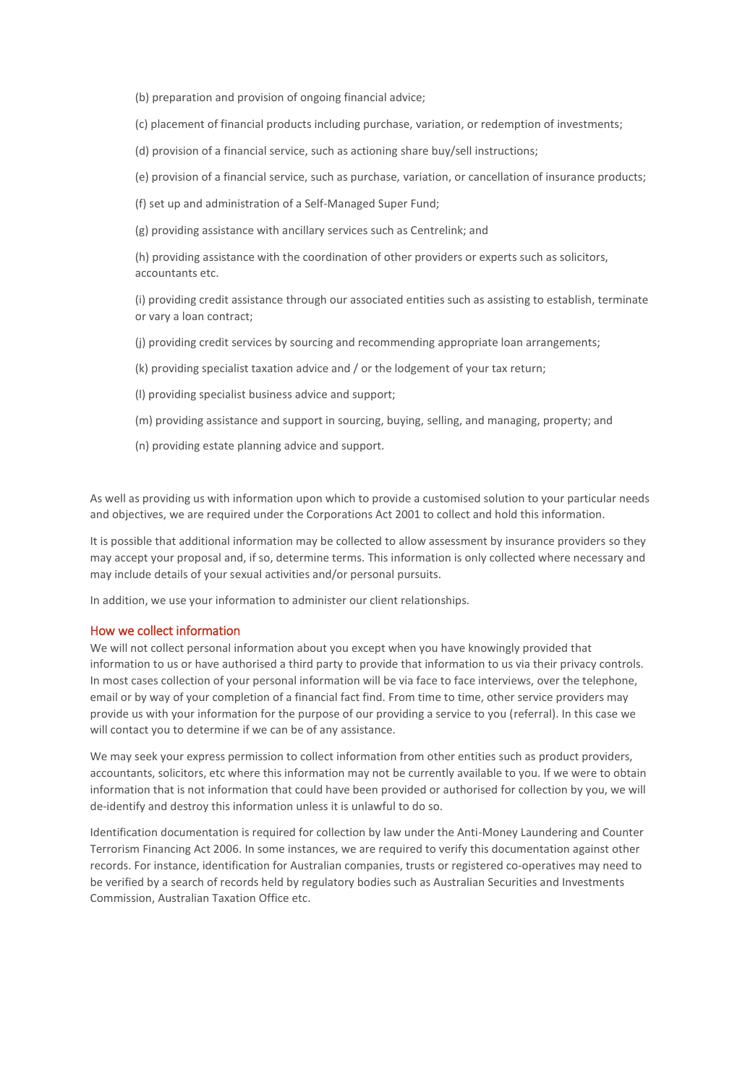(b) preparation and provision of ongoing financial advice;

(c) placement of financial products including purchase, variation, or redemption of investments;

(d) provision of a financial service, such as actioning share buy/sell instructions;

(e) provision of a financial service, such as purchase, variation, or cancellation of insurance products;

(f) set up and administration of a Self-Managed Super Fund;

(g) providing assistance with ancillary services such as Centrelink; and

(h) providing assistance with the coordination of other providers or experts such as solicitors, accountants etc.

(i) providing credit assistance through our associated entities such as assisting to establish, terminate or vary a loan contract;

(j) providing credit services by sourcing and recommending appropriate loan arrangements;

- (k) providing specialist taxation advice and / or the lodgement of your tax return;
- (l) providing specialist business advice and support;
- (m) providing assistance and support in sourcing, buying, selling, and managing, property; and
- (n) providing estate planning advice and support.

As well as providing us with information upon which to provide a customised solution to your particular needs and objectives, we are required under the Corporations Act 2001 to collect and hold this information.

It is possible that additional information may be collected to allow assessment by insurance providers so they may accept your proposal and, if so, determine terms. This information is only collected where necessary and may include details of your sexual activities and/or personal pursuits.

In addition, we use your information to administer our client relationships.

#### How we collect information

We will not collect personal information about you except when you have knowingly provided that information to us or have authorised a third party to provide that information to us via their privacy controls. In most cases collection of your personal information will be via face to face interviews, over the telephone, email or by way of your completion of a financial fact find. From time to time, other service providers may provide us with your information for the purpose of our providing a service to you (referral). In this case we will contact you to determine if we can be of any assistance.

We may seek your express permission to collect information from other entities such as product providers, accountants, solicitors, etc where this information may not be currently available to you. If we were to obtain information that is not information that could have been provided or authorised for collection by you, we will de-identify and destroy this information unless it is unlawful to do so.

Identification documentation is required for collection by law under the Anti-Money Laundering and Counter Terrorism Financing Act 2006. In some instances, we are required to verify this documentation against other records. For instance, identification for Australian companies, trusts or registered co-operatives may need to be verified by a search of records held by regulatory bodies such as Australian Securities and Investments Commission, Australian Taxation Office etc.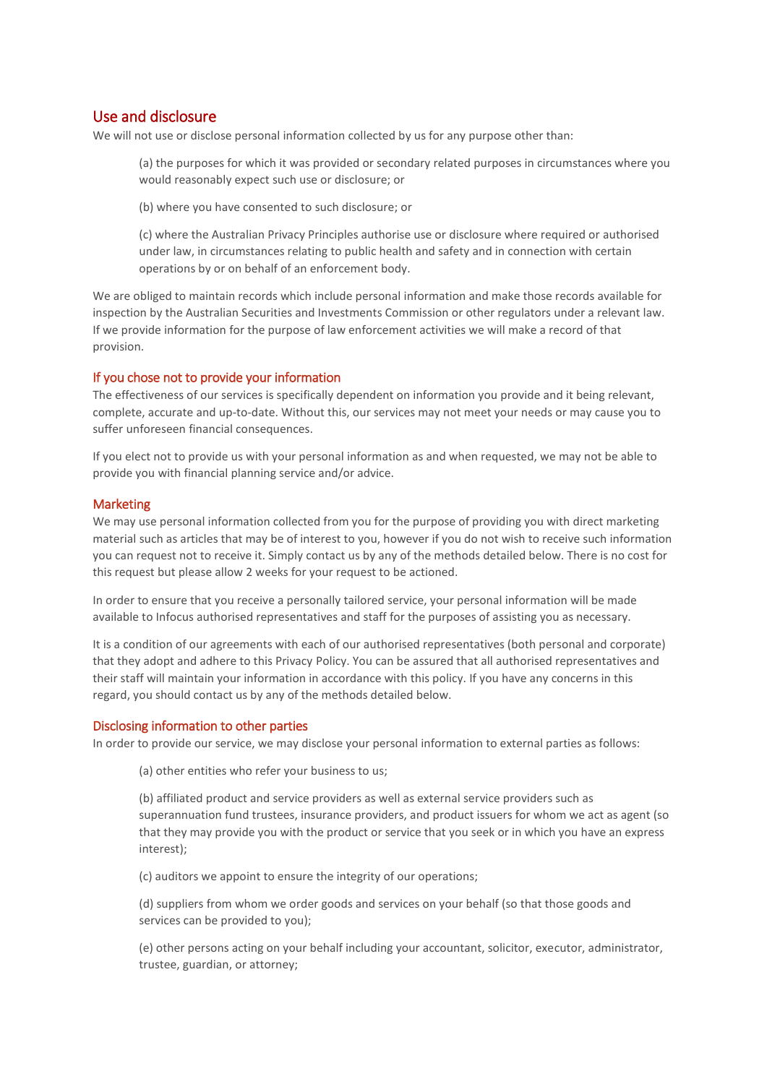# Use and disclosure

We will not use or disclose personal information collected by us for any purpose other than:

(a) the purposes for which it was provided or secondary related purposes in circumstances where you would reasonably expect such use or disclosure; or

(b) where you have consented to such disclosure; or

(c) where the Australian Privacy Principles authorise use or disclosure where required or authorised under law, in circumstances relating to public health and safety and in connection with certain operations by or on behalf of an enforcement body.

We are obliged to maintain records which include personal information and make those records available for inspection by the Australian Securities and Investments Commission or other regulators under a relevant law. If we provide information for the purpose of law enforcement activities we will make a record of that provision.

#### If you chose not to provide your information

The effectiveness of our services is specifically dependent on information you provide and it being relevant, complete, accurate and up-to-date. Without this, our services may not meet your needs or may cause you to suffer unforeseen financial consequences.

If you elect not to provide us with your personal information as and when requested, we may not be able to provide you with financial planning service and/or advice.

#### Marketing

We may use personal information collected from you for the purpose of providing you with direct marketing material such as articles that may be of interest to you, however if you do not wish to receive such information you can request not to receive it. Simply contact us by any of the methods detailed below. There is no cost for this request but please allow 2 weeks for your request to be actioned.

In order to ensure that you receive a personally tailored service, your personal information will be made available to Infocus authorised representatives and staff for the purposes of assisting you as necessary.

It is a condition of our agreements with each of our authorised representatives (both personal and corporate) that they adopt and adhere to this Privacy Policy. You can be assured that all authorised representatives and their staff will maintain your information in accordance with this policy. If you have any concerns in this regard, you should contact us by any of the methods detailed below.

#### Disclosing information to other parties

In order to provide our service, we may disclose your personal information to external parties as follows:

(a) other entities who refer your business to us;

(b) affiliated product and service providers as well as external service providers such as superannuation fund trustees, insurance providers, and product issuers for whom we act as agent (so that they may provide you with the product or service that you seek or in which you have an express interest);

(c) auditors we appoint to ensure the integrity of our operations;

(d) suppliers from whom we order goods and services on your behalf (so that those goods and services can be provided to you);

(e) other persons acting on your behalf including your accountant, solicitor, executor, administrator, trustee, guardian, or attorney;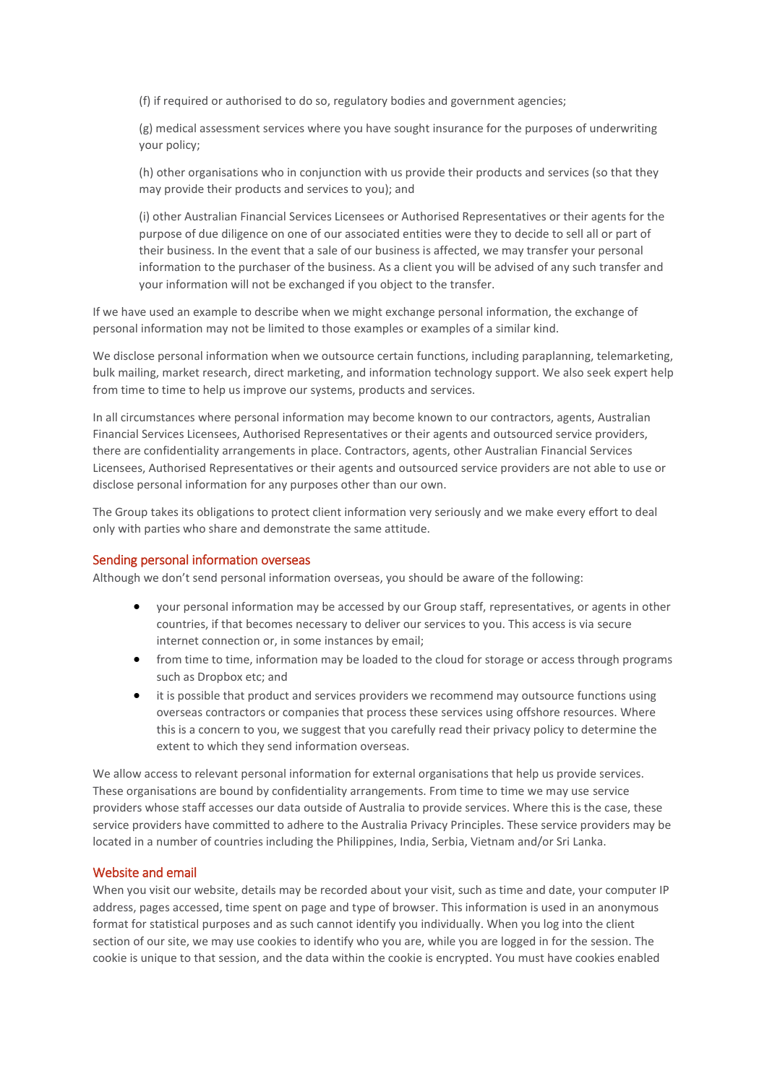(f) if required or authorised to do so, regulatory bodies and government agencies;

(g) medical assessment services where you have sought insurance for the purposes of underwriting your policy;

(h) other organisations who in conjunction with us provide their products and services (so that they may provide their products and services to you); and

(i) other Australian Financial Services Licensees or Authorised Representatives or their agents for the purpose of due diligence on one of our associated entities were they to decide to sell all or part of their business. In the event that a sale of our business is affected, we may transfer your personal information to the purchaser of the business. As a client you will be advised of any such transfer and your information will not be exchanged if you object to the transfer.

If we have used an example to describe when we might exchange personal information, the exchange of personal information may not be limited to those examples or examples of a similar kind.

We disclose personal information when we outsource certain functions, including paraplanning, telemarketing, bulk mailing, market research, direct marketing, and information technology support. We also seek expert help from time to time to help us improve our systems, products and services.

In all circumstances where personal information may become known to our contractors, agents, Australian Financial Services Licensees, Authorised Representatives or their agents and outsourced service providers, there are confidentiality arrangements in place. Contractors, agents, other Australian Financial Services Licensees, Authorised Representatives or their agents and outsourced service providers are not able to use or disclose personal information for any purposes other than our own.

The Group takes its obligations to protect client information very seriously and we make every effort to deal only with parties who share and demonstrate the same attitude.

#### Sending personal information overseas

Although we don't send personal information overseas, you should be aware of the following:

- your personal information may be accessed by our Group staff, representatives, or agents in other countries, if that becomes necessary to deliver our services to you. This access is via secure internet connection or, in some instances by email;
- from time to time, information may be loaded to the cloud for storage or access through programs such as Dropbox etc; and
- it is possible that product and services providers we recommend may outsource functions using overseas contractors or companies that process these services using offshore resources. Where this is a concern to you, we suggest that you carefully read their privacy policy to determine the extent to which they send information overseas.

We allow access to relevant personal information for external organisations that help us provide services. These organisations are bound by confidentiality arrangements. From time to time we may use service providers whose staff accesses our data outside of Australia to provide services. Where this is the case, these service providers have committed to adhere to the Australia Privacy Principles. These service providers may be located in a number of countries including the Philippines, India, Serbia, Vietnam and/or Sri Lanka.

#### Website and email

When you visit our website, details may be recorded about your visit, such as time and date, your computer IP address, pages accessed, time spent on page and type of browser. This information is used in an anonymous format for statistical purposes and as such cannot identify you individually. When you log into the client section of our site, we may use cookies to identify who you are, while you are logged in for the session. The cookie is unique to that session, and the data within the cookie is encrypted. You must have cookies enabled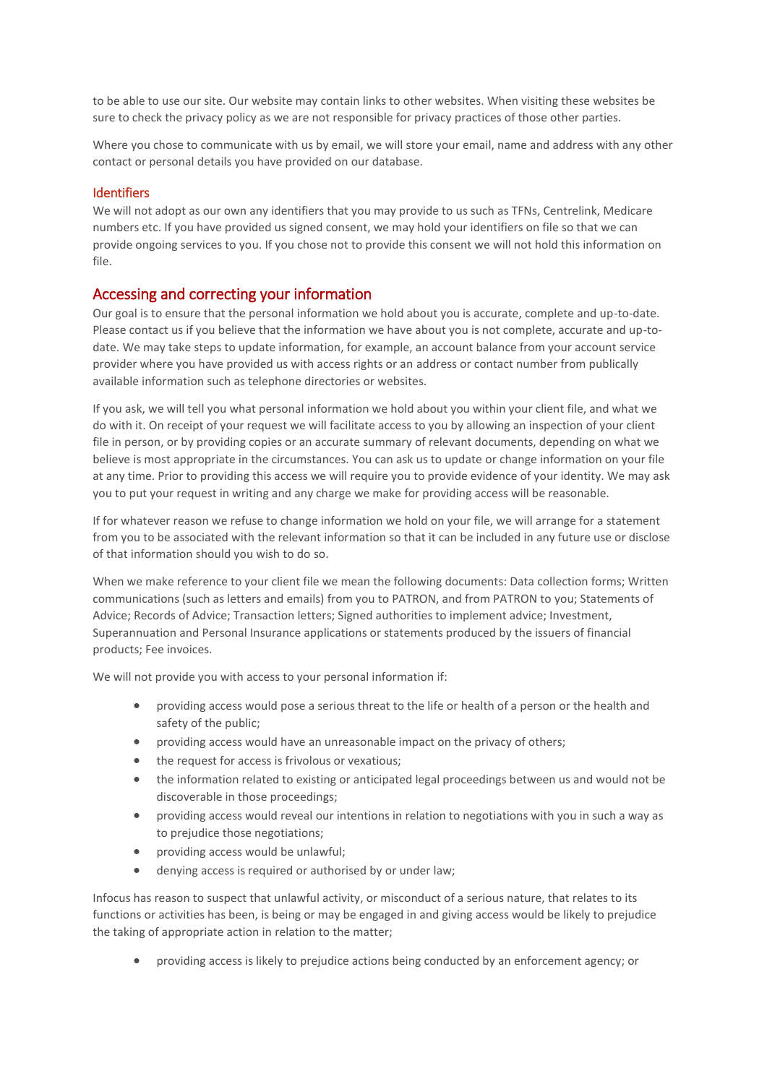to be able to use our site. Our website may contain links to other websites. When visiting these websites be sure to check the privacy policy as we are not responsible for privacy practices of those other parties.

Where you chose to communicate with us by email, we will store your email, name and address with any other contact or personal details you have provided on our database.

#### Identifiers

We will not adopt as our own any identifiers that you may provide to us such as TFNs, Centrelink, Medicare numbers etc. If you have provided us signed consent, we may hold your identifiers on file so that we can provide ongoing services to you. If you chose not to provide this consent we will not hold this information on file.

### Accessing and correcting your information

Our goal is to ensure that the personal information we hold about you is accurate, complete and up-to-date. Please contact us if you believe that the information we have about you is not complete, accurate and up-todate. We may take steps to update information, for example, an account balance from your account service provider where you have provided us with access rights or an address or contact number from publically available information such as telephone directories or websites.

If you ask, we will tell you what personal information we hold about you within your client file, and what we do with it. On receipt of your request we will facilitate access to you by allowing an inspection of your client file in person, or by providing copies or an accurate summary of relevant documents, depending on what we believe is most appropriate in the circumstances. You can ask us to update or change information on your file at any time. Prior to providing this access we will require you to provide evidence of your identity. We may ask you to put your request in writing and any charge we make for providing access will be reasonable.

If for whatever reason we refuse to change information we hold on your file, we will arrange for a statement from you to be associated with the relevant information so that it can be included in any future use or disclose of that information should you wish to do so.

When we make reference to your client file we mean the following documents: Data collection forms; Written communications (such as letters and emails) from you to PATRON, and from PATRON to you; Statements of Advice; Records of Advice; Transaction letters; Signed authorities to implement advice; Investment, Superannuation and Personal Insurance applications or statements produced by the issuers of financial products; Fee invoices.

We will not provide you with access to your personal information if:

- providing access would pose a serious threat to the life or health of a person or the health and safety of the public;
- providing access would have an unreasonable impact on the privacy of others;
- the request for access is frivolous or vexatious;
- the information related to existing or anticipated legal proceedings between us and would not be discoverable in those proceedings;
- providing access would reveal our intentions in relation to negotiations with you in such a way as to prejudice those negotiations;
- providing access would be unlawful;
- denying access is required or authorised by or under law;

Infocus has reason to suspect that unlawful activity, or misconduct of a serious nature, that relates to its functions or activities has been, is being or may be engaged in and giving access would be likely to prejudice the taking of appropriate action in relation to the matter;

• providing access is likely to prejudice actions being conducted by an enforcement agency; or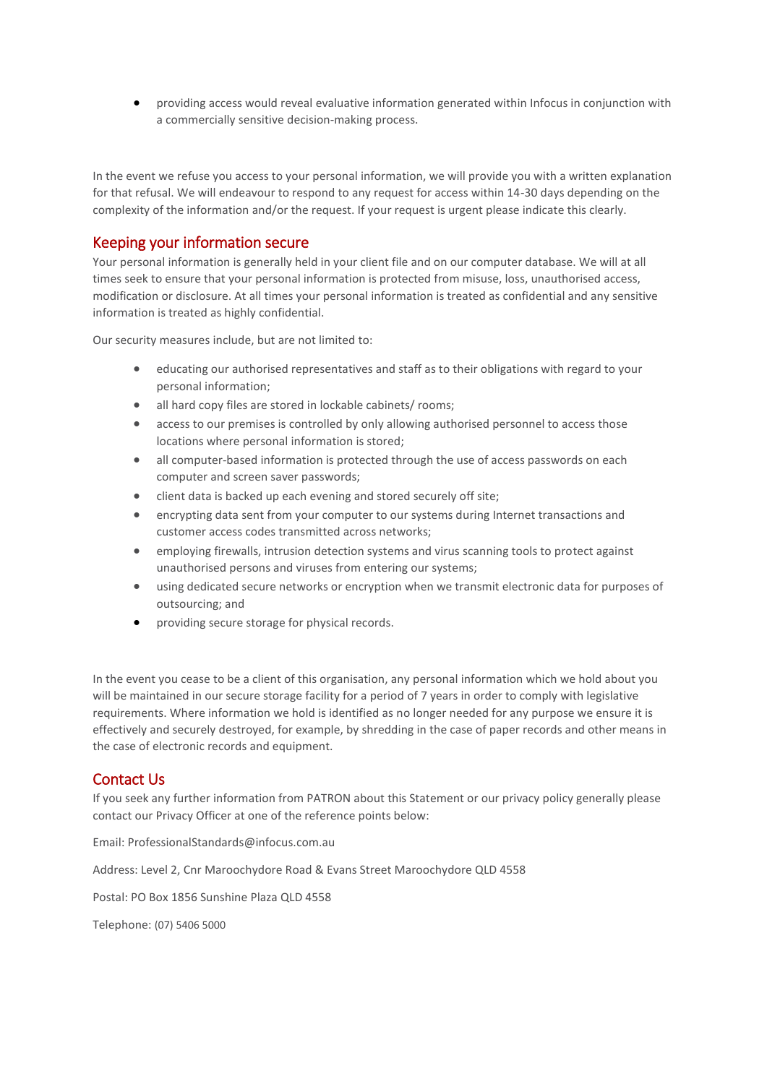• providing access would reveal evaluative information generated within Infocus in conjunction with a commercially sensitive decision-making process.

In the event we refuse you access to your personal information, we will provide you with a written explanation for that refusal. We will endeavour to respond to any request for access within 14-30 days depending on the complexity of the information and/or the request. If your request is urgent please indicate this clearly.

# Keeping your information secure

Your personal information is generally held in your client file and on our computer database. We will at all times seek to ensure that your personal information is protected from misuse, loss, unauthorised access, modification or disclosure. At all times your personal information is treated as confidential and any sensitive information is treated as highly confidential.

Our security measures include, but are not limited to:

- educating our authorised representatives and staff as to their obligations with regard to your personal information;
- all hard copy files are stored in lockable cabinets/ rooms;
- access to our premises is controlled by only allowing authorised personnel to access those locations where personal information is stored;
- all computer-based information is protected through the use of access passwords on each computer and screen saver passwords;
- client data is backed up each evening and stored securely off site;
- encrypting data sent from your computer to our systems during Internet transactions and customer access codes transmitted across networks;
- employing firewalls, intrusion detection systems and virus scanning tools to protect against unauthorised persons and viruses from entering our systems;
- using dedicated secure networks or encryption when we transmit electronic data for purposes of outsourcing; and
- providing secure storage for physical records.

In the event you cease to be a client of this organisation, any personal information which we hold about you will be maintained in our secure storage facility for a period of 7 years in order to comply with legislative requirements. Where information we hold is identified as no longer needed for any purpose we ensure it is effectively and securely destroyed, for example, by shredding in the case of paper records and other means in the case of electronic records and equipment.

### Contact Us

If you seek any further information from PATRON about this Statement or our privacy policy generally please contact our Privacy Officer at one of the reference points below:

Email: ProfessionalStandards@infocus.com.au

Address: Level 2, Cnr Maroochydore Road & Evans Street Maroochydore QLD 4558

Postal: PO Box 1856 Sunshine Plaza QLD 4558

Telephone: (07) 5406 5000